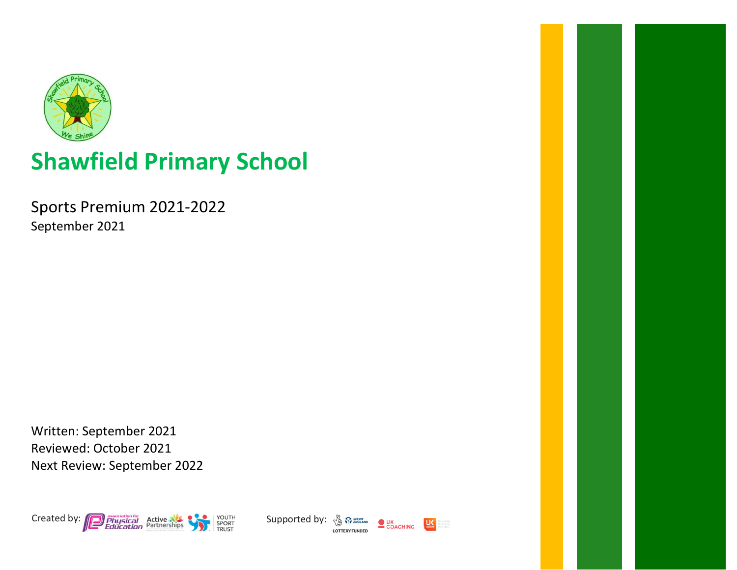

## Shawfield Primary School

Sports Premium 2021-2022 September 2021

Written: September 2021 Reviewed: October 2021 Next Review: September 2022



**LOTTERY FUNDED** 

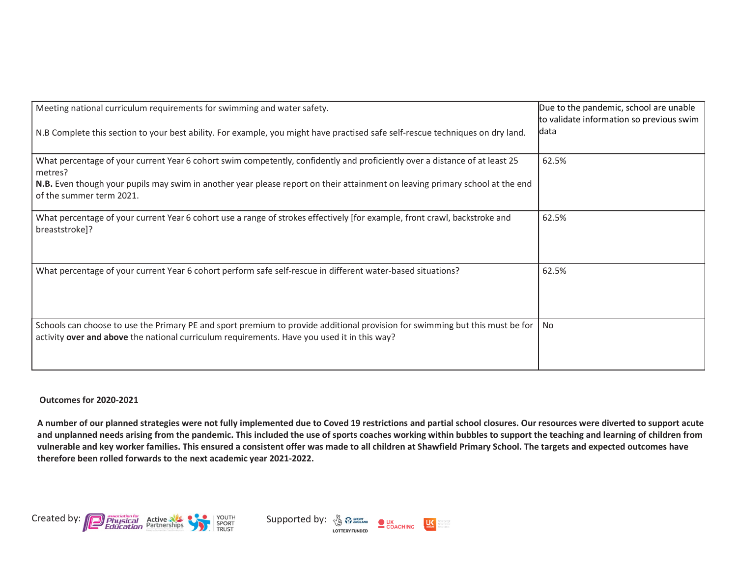| Meeting national curriculum requirements for swimming and water safety.                                                                                                                                                     | Due to the pandemic, school are unable<br>to validate information so previous swim |
|-----------------------------------------------------------------------------------------------------------------------------------------------------------------------------------------------------------------------------|------------------------------------------------------------------------------------|
| N.B Complete this section to your best ability. For example, you might have practised safe self-rescue techniques on dry land.                                                                                              | data                                                                               |
| What percentage of your current Year 6 cohort swim competently, confidently and proficiently over a distance of at least 25<br>metres?                                                                                      | 62.5%                                                                              |
| N.B. Even though your pupils may swim in another year please report on their attainment on leaving primary school at the end<br>of the summer term 2021.                                                                    |                                                                                    |
| What percentage of your current Year 6 cohort use a range of strokes effectively [for example, front crawl, backstroke and<br>breaststroke]?                                                                                | 62.5%                                                                              |
| What percentage of your current Year 6 cohort perform safe self-rescue in different water-based situations?                                                                                                                 | 62.5%                                                                              |
| Schools can choose to use the Primary PE and sport premium to provide additional provision for swimming but this must be for<br>activity over and above the national curriculum requirements. Have you used it in this way? | No.                                                                                |

Outcomes for 2020-2021

A number of our planned strategies were not fully implemented due to Coved 19 restrictions and partial school closures. Our resources were diverted to support acute and unplanned needs arising from the pandemic. This included the use of sports coaches working within bubbles to support the teaching and learning of children from vulnerable and key worker families. This ensured a consistent offer was made to all children at Shawfield Primary School. The targets and expected outcomes have therefore been rolled forwards to the next academic year 2021-2022.



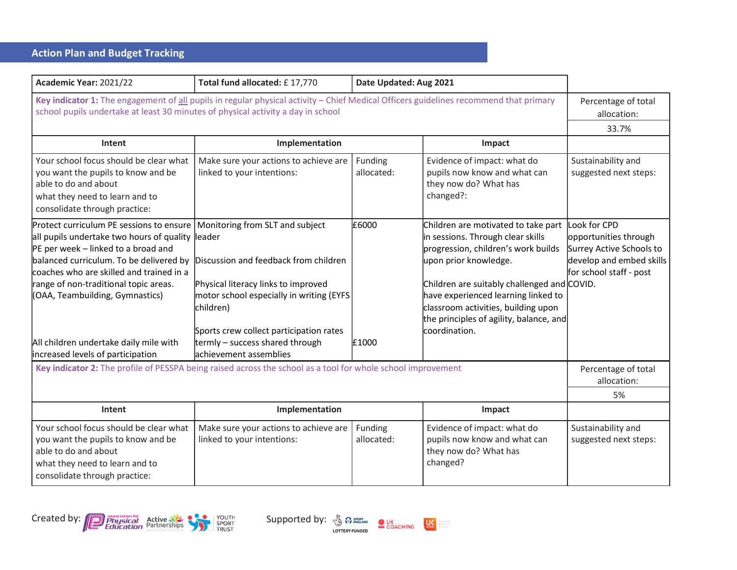## Action Plan and Budget Tracking

| Academic Year: 2021/22                                                                                                                                                                                                                                                                                                                                                                  | Total fund allocated: £17,770                                                                                                                                                                                                                                                     | Date Updated: Aug 2021 |                                                                                                                                                                                                                                                                                                                                   |                                                                                                                          |
|-----------------------------------------------------------------------------------------------------------------------------------------------------------------------------------------------------------------------------------------------------------------------------------------------------------------------------------------------------------------------------------------|-----------------------------------------------------------------------------------------------------------------------------------------------------------------------------------------------------------------------------------------------------------------------------------|------------------------|-----------------------------------------------------------------------------------------------------------------------------------------------------------------------------------------------------------------------------------------------------------------------------------------------------------------------------------|--------------------------------------------------------------------------------------------------------------------------|
| Key indicator 1: The engagement of all pupils in regular physical activity - Chief Medical Officers guidelines recommend that primary<br>school pupils undertake at least 30 minutes of physical activity a day in school                                                                                                                                                               |                                                                                                                                                                                                                                                                                   |                        |                                                                                                                                                                                                                                                                                                                                   | Percentage of total<br>allocation:<br>33.7%                                                                              |
| Intent                                                                                                                                                                                                                                                                                                                                                                                  | Implementation                                                                                                                                                                                                                                                                    |                        | Impact                                                                                                                                                                                                                                                                                                                            |                                                                                                                          |
| Your school focus should be clear what<br>you want the pupils to know and be<br>able to do and about<br>what they need to learn and to<br>consolidate through practice:                                                                                                                                                                                                                 | Make sure your actions to achieve are<br>linked to your intentions:                                                                                                                                                                                                               | Funding<br>allocated:  | Evidence of impact: what do<br>pupils now know and what can<br>they now do? What has<br>changed?:                                                                                                                                                                                                                                 | Sustainability and<br>suggested next steps:                                                                              |
| Protect curriculum PE sessions to ensure<br>all pupils undertake two hours of quality leader<br>$PE$ per week – linked to a broad and<br>balanced curriculum. To be delivered by<br>coaches who are skilled and trained in a<br>range of non-traditional topic areas.<br>(OAA, Teambuilding, Gymnastics)<br>All children undertake daily mile with<br>increased levels of participation | Monitoring from SLT and subject<br>Discussion and feedback from children<br>Physical literacy links to improved<br>motor school especially in writing (EYFS<br>children)<br>Sports crew collect participation rates<br>termly - success shared through<br>lachievement assemblies | £6000<br>£1000         | Children are motivated to take part<br>in sessions. Through clear skills<br>progression, children's work builds<br>upon prior knowledge.<br>Children are suitably challenged and COVID.<br>have experienced learning linked to<br>classroom activities, building upon<br>the principles of agility, balance, and<br>coordination. | Look for CPD<br>opportunities through<br>Surrey Active Schools to<br>develop and embed skills<br>for school staff - post |
| Key indicator 2: The profile of PESSPA being raised across the school as a tool for whole school improvement                                                                                                                                                                                                                                                                            |                                                                                                                                                                                                                                                                                   |                        | Percentage of total<br>allocation:                                                                                                                                                                                                                                                                                                |                                                                                                                          |
|                                                                                                                                                                                                                                                                                                                                                                                         |                                                                                                                                                                                                                                                                                   |                        |                                                                                                                                                                                                                                                                                                                                   | 5%                                                                                                                       |
| Intent                                                                                                                                                                                                                                                                                                                                                                                  | Implementation                                                                                                                                                                                                                                                                    |                        | Impact                                                                                                                                                                                                                                                                                                                            |                                                                                                                          |
| Your school focus should be clear what<br>you want the pupils to know and be<br>able to do and about<br>what they need to learn and to<br>consolidate through practice:                                                                                                                                                                                                                 | Make sure your actions to achieve are<br>linked to your intentions:                                                                                                                                                                                                               | Funding<br>allocated:  | Evidence of impact: what do<br>pupils now know and what can<br>they now do? What has<br>changed?                                                                                                                                                                                                                                  | Sustainability and<br>suggested next steps:                                                                              |





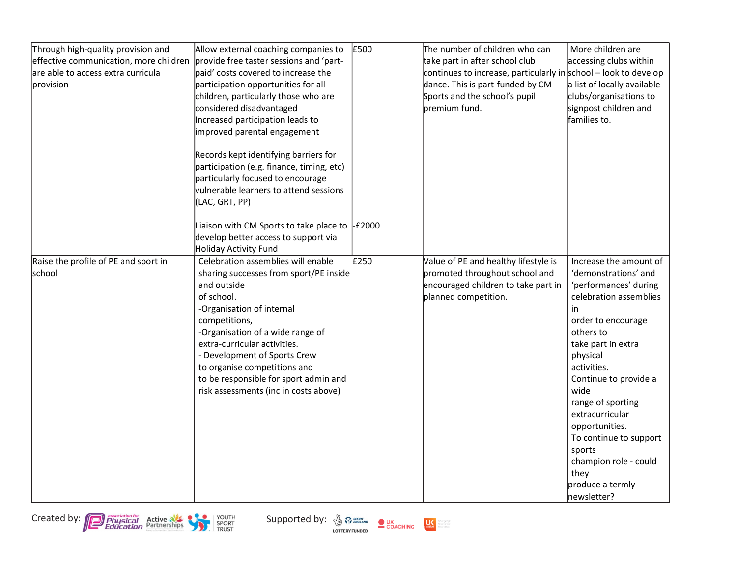| Through high-quality provision and     | Allow external coaching companies to               | £500 | The number of children who can                                    | More children are           |
|----------------------------------------|----------------------------------------------------|------|-------------------------------------------------------------------|-----------------------------|
| effective communication, more children | provide free taster sessions and 'part-            |      | take part in after school club                                    | accessing clubs within      |
| are able to access extra curricula     | paid' costs covered to increase the                |      | continues to increase, particularly in school $-$ look to develop |                             |
| provision                              | participation opportunities for all                |      | dance. This is part-funded by CM                                  | a list of locally available |
|                                        | children, particularly those who are               |      | Sports and the school's pupil                                     | clubs/organisations to      |
|                                        | considered disadvantaged                           |      | premium fund.                                                     | signpost children and       |
|                                        | Increased participation leads to                   |      |                                                                   | families to.                |
|                                        | improved parental engagement                       |      |                                                                   |                             |
|                                        | Records kept identifying barriers for              |      |                                                                   |                             |
|                                        | participation (e.g. finance, timing, etc)          |      |                                                                   |                             |
|                                        | particularly focused to encourage                  |      |                                                                   |                             |
|                                        | vulnerable learners to attend sessions             |      |                                                                   |                             |
|                                        | (LAC, GRT, PP)                                     |      |                                                                   |                             |
|                                        | Liaison with CM Sports to take place to $\pm$ 2000 |      |                                                                   |                             |
|                                        | develop better access to support via               |      |                                                                   |                             |
|                                        | Holiday Activity Fund                              |      |                                                                   |                             |
| Raise the profile of PE and sport in   | Celebration assemblies will enable                 | £250 | Value of PE and healthy lifestyle is                              | Increase the amount of      |
| school                                 | sharing successes from sport/PE inside             |      | promoted throughout school and                                    | 'demonstrations' and        |
|                                        | and outside                                        |      | encouraged children to take part in                               | 'performances' during       |
|                                        | of school.                                         |      | planned competition.                                              | celebration assemblies      |
|                                        | -Organisation of internal                          |      |                                                                   | in                          |
|                                        | competitions,                                      |      |                                                                   | order to encourage          |
|                                        | -Organisation of a wide range of                   |      |                                                                   | others to                   |
|                                        | extra-curricular activities.                       |      |                                                                   | take part in extra          |
|                                        | - Development of Sports Crew                       |      |                                                                   | physical                    |
|                                        | to organise competitions and                       |      |                                                                   | activities.                 |
|                                        | to be responsible for sport admin and              |      |                                                                   | Continue to provide a       |
|                                        | risk assessments (inc in costs above)              |      |                                                                   | wide                        |
|                                        |                                                    |      |                                                                   | range of sporting           |
|                                        |                                                    |      |                                                                   | extracurricular             |
|                                        |                                                    |      |                                                                   | opportunities.              |
|                                        |                                                    |      |                                                                   | To continue to support      |
|                                        |                                                    |      |                                                                   | sports                      |
|                                        |                                                    |      |                                                                   | champion role - could       |
|                                        |                                                    |      |                                                                   | they                        |
|                                        |                                                    |      |                                                                   | produce a termly            |
|                                        |                                                    |      |                                                                   | newsletter?                 |





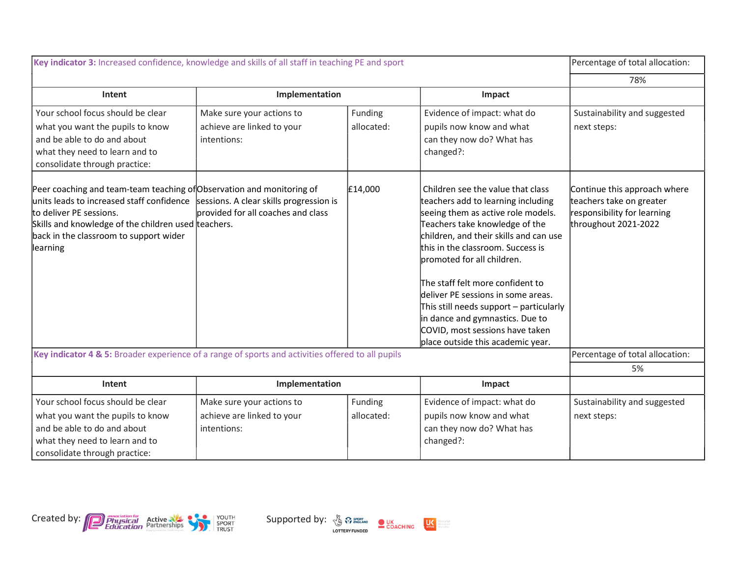| Key indicator 3: Increased confidence, knowledge and skills of all staff in teaching PE and sport                                                                                                                                                                                                  |                                    |            | Percentage of total allocation:                                                                                                                                                                                                                                                                                                                                                                                                                                                                |                                                                                                                 |
|----------------------------------------------------------------------------------------------------------------------------------------------------------------------------------------------------------------------------------------------------------------------------------------------------|------------------------------------|------------|------------------------------------------------------------------------------------------------------------------------------------------------------------------------------------------------------------------------------------------------------------------------------------------------------------------------------------------------------------------------------------------------------------------------------------------------------------------------------------------------|-----------------------------------------------------------------------------------------------------------------|
|                                                                                                                                                                                                                                                                                                    |                                    |            |                                                                                                                                                                                                                                                                                                                                                                                                                                                                                                | 78%                                                                                                             |
| Intent                                                                                                                                                                                                                                                                                             | Implementation                     |            | Impact                                                                                                                                                                                                                                                                                                                                                                                                                                                                                         |                                                                                                                 |
| Your school focus should be clear                                                                                                                                                                                                                                                                  | Make sure your actions to          | Funding    | Evidence of impact: what do                                                                                                                                                                                                                                                                                                                                                                                                                                                                    | Sustainability and suggested                                                                                    |
| what you want the pupils to know                                                                                                                                                                                                                                                                   | achieve are linked to your         | allocated: | pupils now know and what                                                                                                                                                                                                                                                                                                                                                                                                                                                                       | next steps:                                                                                                     |
| and be able to do and about                                                                                                                                                                                                                                                                        | intentions:                        |            | can they now do? What has                                                                                                                                                                                                                                                                                                                                                                                                                                                                      |                                                                                                                 |
| what they need to learn and to<br>consolidate through practice:                                                                                                                                                                                                                                    |                                    |            | changed?:                                                                                                                                                                                                                                                                                                                                                                                                                                                                                      |                                                                                                                 |
|                                                                                                                                                                                                                                                                                                    |                                    |            |                                                                                                                                                                                                                                                                                                                                                                                                                                                                                                |                                                                                                                 |
| Peer coaching and team-team teaching of Observation and monitoring of<br>units leads to increased staff confidence sessions. A clear skills progression is<br>to deliver PE sessions.<br>Skills and knowledge of the children used teachers.<br>back in the classroom to support wider<br>learning | brovided for all coaches and class | £14,000    | Children see the value that class<br>teachers add to learning including<br>seeing them as active role models.<br>Teachers take knowledge of the<br>children, and their skills and can use<br>this in the classroom. Success is<br>promoted for all children.<br>The staff felt more confident to<br>deliver PE sessions in some areas.<br>This still needs support $-$ particularly<br>in dance and gymnastics. Due to<br>COVID, most sessions have taken<br>place outside this academic year. | Continue this approach where<br>teachers take on greater<br>responsibility for learning<br>throughout 2021-2022 |
| Key indicator 4 & 5: Broader experience of a range of sports and activities offered to all pupils                                                                                                                                                                                                  |                                    |            |                                                                                                                                                                                                                                                                                                                                                                                                                                                                                                | Percentage of total allocation:                                                                                 |
|                                                                                                                                                                                                                                                                                                    |                                    |            |                                                                                                                                                                                                                                                                                                                                                                                                                                                                                                | 5%                                                                                                              |
| Intent                                                                                                                                                                                                                                                                                             | Implementation                     |            | Impact                                                                                                                                                                                                                                                                                                                                                                                                                                                                                         |                                                                                                                 |
| Your school focus should be clear                                                                                                                                                                                                                                                                  | Make sure your actions to          | Funding    | Evidence of impact: what do                                                                                                                                                                                                                                                                                                                                                                                                                                                                    | Sustainability and suggested                                                                                    |
| what you want the pupils to know                                                                                                                                                                                                                                                                   | achieve are linked to your         | allocated: | pupils now know and what                                                                                                                                                                                                                                                                                                                                                                                                                                                                       | next steps:                                                                                                     |
| and be able to do and about                                                                                                                                                                                                                                                                        | intentions:                        |            | can they now do? What has                                                                                                                                                                                                                                                                                                                                                                                                                                                                      |                                                                                                                 |
| what they need to learn and to                                                                                                                                                                                                                                                                     |                                    |            | changed?:                                                                                                                                                                                                                                                                                                                                                                                                                                                                                      |                                                                                                                 |
| consolidate through practice:                                                                                                                                                                                                                                                                      |                                    |            |                                                                                                                                                                                                                                                                                                                                                                                                                                                                                                |                                                                                                                 |





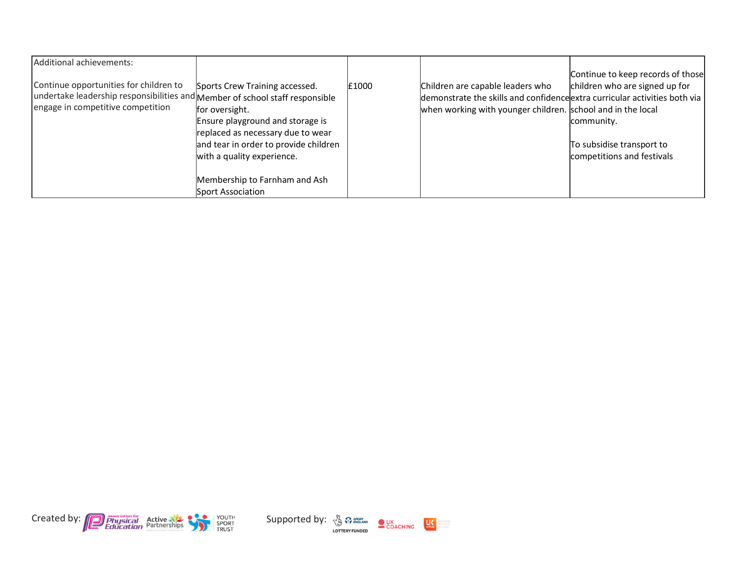| Additional achievements:<br>Continue opportunities for children to<br>undertake leadership responsibilities and Member of school staff responsible<br>engage in competitive competition | Sports Crew Training accessed.<br>for oversight.<br>Ensure playground and storage is<br>replaced as necessary due to wear<br>and tear in order to provide children<br>with a quality experience. | £1000 | Children are capable leaders who<br>demonstrate the skills and confidence extra curricular activities both via<br>when working with younger children. school and in the local | Continue to keep records of those<br>children who are signed up for<br>community.<br>To subsidise transport to<br>competitions and festivals |
|-----------------------------------------------------------------------------------------------------------------------------------------------------------------------------------------|--------------------------------------------------------------------------------------------------------------------------------------------------------------------------------------------------|-------|-------------------------------------------------------------------------------------------------------------------------------------------------------------------------------|----------------------------------------------------------------------------------------------------------------------------------------------|
|                                                                                                                                                                                         | Membership to Farnham and Ash<br>Sport Association                                                                                                                                               |       |                                                                                                                                                                               |                                                                                                                                              |